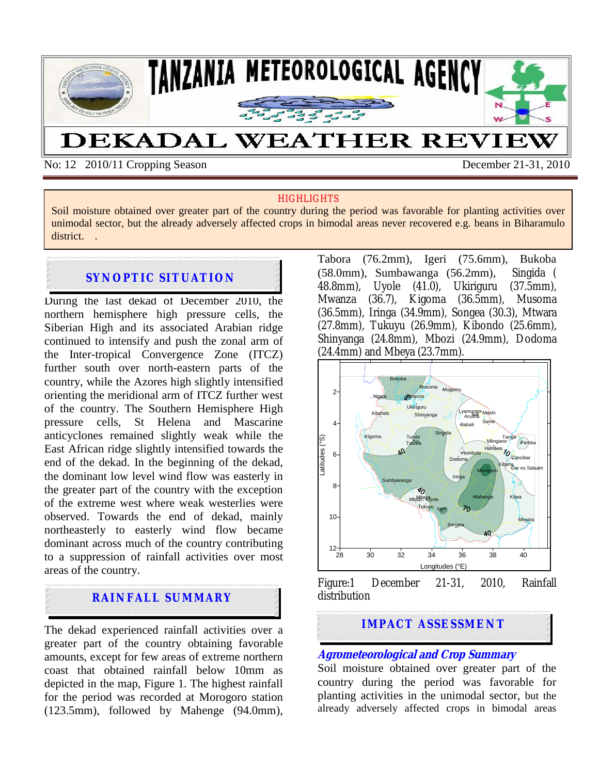

No: 12 2010/11 Cropping Season December 21-31, 2010

#### **HIGHLIGHTS**

Soil moisture obtained over greater part of the country during the period was favorable for planting activities over unimodal sector, but the already adversely affected crops in bimodal areas never recovered e.g. beans in Biharamulo district. .

## **SYNOPTIC SITUATION**

During the last dekad of December 2010, the northern hemisphere high pressure cells, the Siberian High and its associated Arabian ridge continued to intensify and push the zonal arm of the Inter-tropical Convergence Zone (ITCZ) further south over north-eastern parts of the country, while the Azores high slightly intensified orienting the meridional arm of ITCZ further west of the country. The Southern Hemisphere High pressure cells, St Helena and Mascarine anticyclones remained slightly weak while the East African ridge slightly intensified towards the end of the dekad. In the beginning of the dekad, the dominant low level wind flow was easterly in the greater part of the country with the exception of the extreme west where weak westerlies were observed. Towards the end of dekad, mainly northeasterly to easterly wind flow became dominant across much of the country contributing to a suppression of rainfall activities over most areas of the country.

# **RAINFALL SUMMARY**

The dekad experienced rainfall activities over a greater part of the country obtaining favorable amounts, except for few areas of extreme northern coast that obtained rainfall below 10mm as depicted in the map, Figure 1. The highest rainfall for the period was recorded at Morogoro station (123.5mm), followed by Mahenge (94.0mm), Tabora (76.2mm), Igeri (75.6mm), Bukoba (58.0mm), Sumbawanga (56.2mm), Singida ( 48.8mm), Uyole (41.0), Ukiriguru (37.5mm), Mwanza (36.7), Kigoma (36.5mm), Musoma (36.5mm), Iringa (34.9mm), Songea (30.3), Mtwara (27.8mm), Tukuyu (26.9mm), Kibondo (25.6mm), Shinyanga (24.8mm), Mbozi (24.9mm), Dodoma (24.4mm) and Mbeya (23.7mm).



Figure:1 December 21-31, 2010, Rainfall distribution

# **IMPACT ASSESSMENT**

#### **Agrometeorological and Crop Summary**

Soil moisture obtained over greater part of the country during the period was favorable for planting activities in the unimodal sector, but the already adversely affected crops in bimodal areas